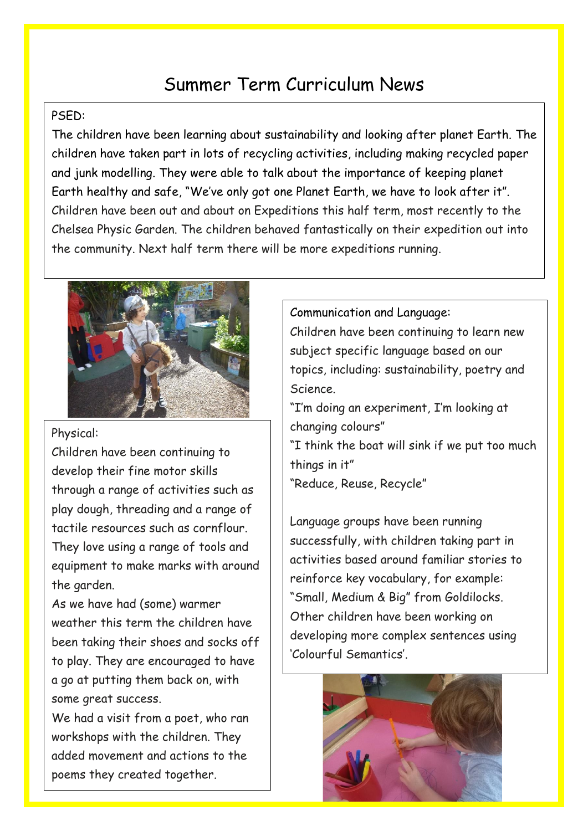# Summer Term Curriculum News

### PSED:

The children have been learning about sustainability and looking after planet Earth. The children have taken part in lots of recycling activities, including making recycled paper and junk modelling. They were able to talk about the importance of keeping planet Earth healthy and safe, "We've only got one Planet Earth, we have to look after it". Children have been out and about on Expeditions this half term, most recently to the Chelsea Physic Garden. The children behaved fantastically on their expedition out into the community. Next half term there will be more expeditions running.



Physical:

Children have been continuing to develop their fine motor skills through a range of activities such as play dough, threading and a range of tactile resources such as cornflour. They love using a range of tools and equipment to make marks with around the garden.

As we have had (some) warmer weather this term the children have been taking their shoes and socks off to play. They are encouraged to have a go at putting them back on, with some great success.

We had a visit from a poet, who ran workshops with the children. They added movement and actions to the poems they created together.

#### Communication and Language:

Children have been continuing to learn new subject specific language based on our topics, including: sustainability, poetry and Science.

"I'm doing an experiment, I'm looking at changing colours"

"I think the boat will sink if we put too much things in it"

"Reduce, Reuse, Recycle"

Language groups have been running successfully, with children taking part in activities based around familiar stories to reinforce key vocabulary, for example: "Small, Medium & Big" from Goldilocks. Other children have been working on developing more complex sentences using 'Colourful Semantics'.

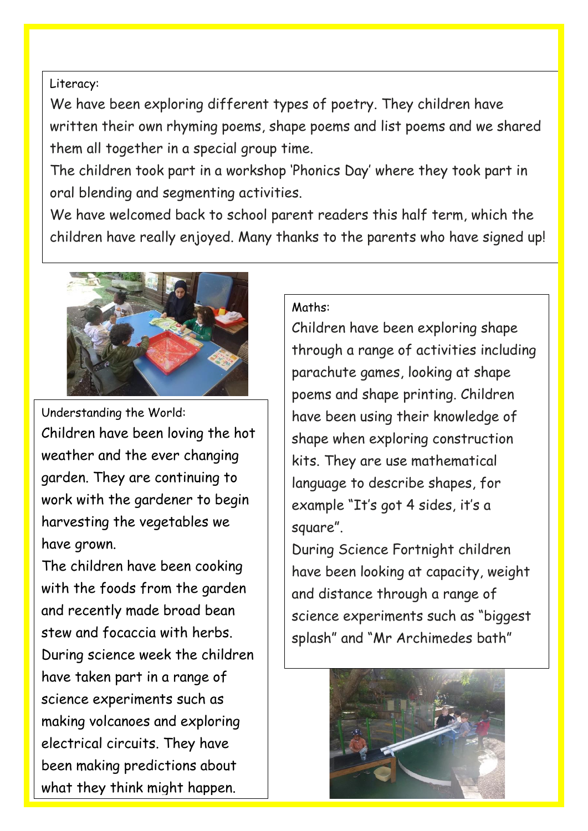## Literacy:

We have been exploring different types of poetry. They children have written their own rhyming poems, shape poems and list poems and we shared them all together in a special group time.

The children took part in a workshop 'Phonics Day' where they took part in oral blending and segmenting activities.

We have welcomed back to school parent readers this half term, which the children have really enjoyed. Many thanks to the parents who have signed up!



Understanding the World: Children have been loving the hot weather and the ever changing garden. They are continuing to work with the gardener to begin harvesting the vegetables we have grown.

The children have been cooking with the foods from the garden and recently made broad bean stew and focaccia with herbs. During science week the children have taken part in a range of science experiments such as making volcanoes and exploring electrical circuits. They have been making predictions about what they think might happen.

## Maths:

Children have been exploring shape through a range of activities including parachute games, looking at shape poems and shape printing. Children have been using their knowledge of shape when exploring construction kits. They are use mathematical language to describe shapes, for example "It's got 4 sides, it's a square".

During Science Fortnight children have been looking at capacity, weight and distance through a range of science experiments such as "biggest splash" and "Mr Archimedes bath"